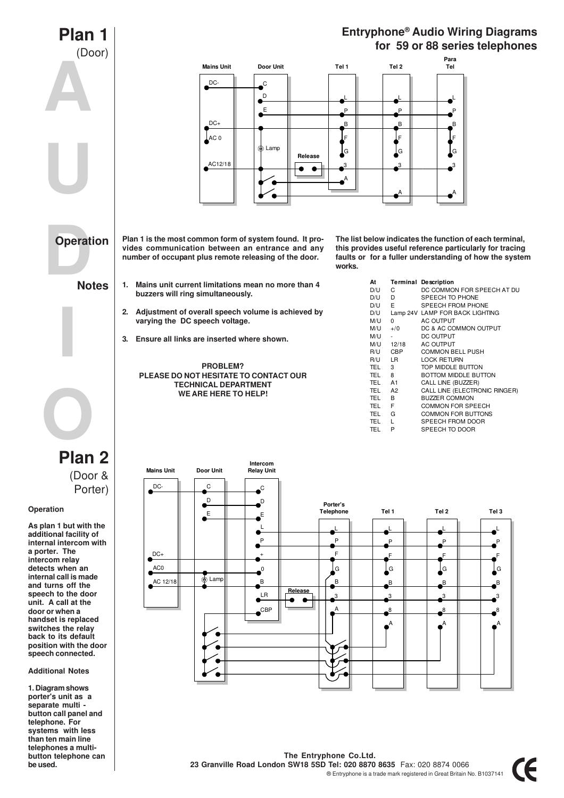

**The Entryphone Co.Ltd. 23 Granville Road London SW18 5SD Tel: 020 8870 8635** Fax: 020 8874 0066 ® Entryphone is a trade mark registered in Great Britain No. B1037141

**be used.**